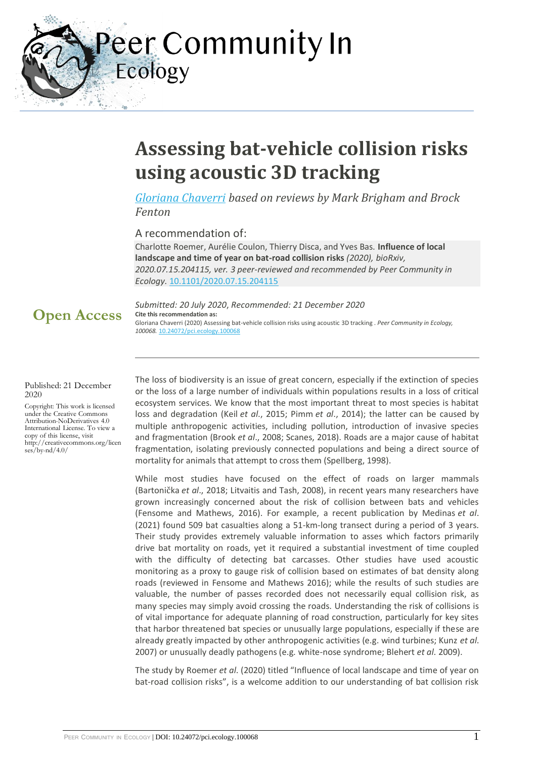Peer Community In

# **Assessing bat-vehicle collision risks using acoustic 3D tracking**

*[Gloriana Chaverri](https://ecology.peercommunityin.org/public/viewUserCard?userId=843) based on reviews by Mark Brigham and Brock Fenton*

A recommendation of:

Ecology

Charlotte Roemer, Aurélie Coulon, Thierry Disca, and Yves Bas. **Influence of local landscape and time of year on bat-road collision risks** *(2020), bioRxiv, 2020.07.15.204115, ver. 3 peer-reviewed and recommended by Peer Community in Ecology.* [10.1101/2020.07.15.204115](https://doi.org/10.1101/2020.07.15.204115)

## **Open Access**

*Submitted: 20 July 2020*, *Recommended: 21 December 2020* **Cite this recommendation as:** Gloriana Chaverri (2020) Assessing bat-vehicle collision risks using acoustic 3D tracking . *Peer Community in Ecology, 100068.* [10.24072/pci.ecology.100068](https://doi.org/10.24072/pci.ecology.100068)

Published: 21 December 2020

Copyright: This work is licensed under the Creative Commons Attribution-NoDerivatives 4.0 International License. To view a copy of this license, visit http://creativecommons.org/licen ses/by-nd/4.0/

The loss of biodiversity is an issue of great concern, especially if the extinction of species or the loss of a large number of individuals within populations results in a loss of critical ecosystem services. We know that the most important threat to most species is habitat loss and degradation (Keil *et al*., 2015; Pimm *et al*., 2014); the latter can be caused by multiple anthropogenic activities, including pollution, introduction of invasive species and fragmentation (Brook *et al*., 2008; Scanes, 2018). Roads are a major cause of habitat fragmentation, isolating previously connected populations and being a direct source of mortality for animals that attempt to cross them (Spellberg, 1998).

While most studies have focused on the effect of roads on larger mammals (Bartonička *et al*., 2018; Litvaitis and Tash, 2008), in recent years many researchers have grown increasingly concerned about the risk of collision between bats and vehicles (Fensome and Mathews, 2016). For example, a recent publication by Medinas *et al*. (2021) found 509 bat casualties along a 51-km-long transect during a period of 3 years. Their study provides extremely valuable information to asses which factors primarily drive bat mortality on roads, yet it required a substantial investment of time coupled with the difficulty of detecting bat carcasses. Other studies have used acoustic monitoring as a proxy to gauge risk of collision based on estimates of bat density along roads (reviewed in Fensome and Mathews 2016); while the results of such studies are valuable, the number of passes recorded does not necessarily equal collision risk, as many species may simply avoid crossing the roads. Understanding the risk of collisions is of vital importance for adequate planning of road construction, particularly for key sites that harbor threatened bat species or unusually large populations, especially if these are already greatly impacted by other anthropogenic activities (e.g. wind turbines; Kunz *et al*. 2007) or unusually deadly pathogens (e.g. white-nose syndrome; Blehert *et al*. 2009).

The study by Roemer *et al*. (2020) titled "Influence of local landscape and time of year on bat-road collision risks", is a welcome addition to our understanding of bat collision risk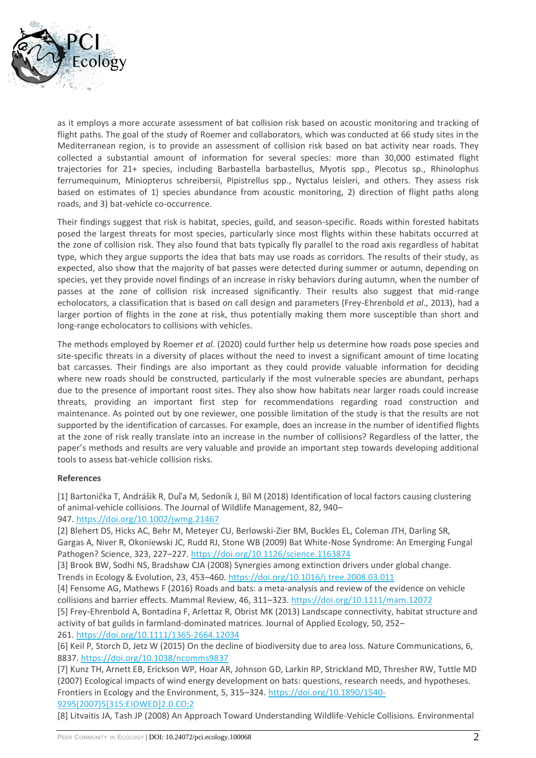

as it employs a more accurate assessment of bat collision risk based on acoustic monitoring and tracking of flight paths. The goal of the study of Roemer and collaborators, which was conducted at 66 study sites in the Mediterranean region, is to provide an assessment of collision risk based on bat activity near roads. They collected a substantial amount of information for several species: more than 30,000 estimated flight trajectories for 21+ species, including Barbastella barbastellus, Myotis spp., Plecotus sp., Rhinolophus ferrumequinum, Miniopterus schreibersii, Pipistrellus spp., Nyctalus leisleri, and others. They assess risk based on estimates of 1) species abundance from acoustic monitoring, 2) direction of flight paths along roads, and 3) bat-vehicle co-occurrence.

Their findings suggest that risk is habitat, species, guild, and season-specific. Roads within forested habitats posed the largest threats for most species, particularly since most flights within these habitats occurred at the zone of collision risk. They also found that bats typically fly parallel to the road axis regardless of habitat type, which they argue supports the idea that bats may use roads as corridors. The results of their study, as expected, also show that the majority of bat passes were detected during summer or autumn, depending on species, yet they provide novel findings of an increase in risky behaviors during autumn, when the number of passes at the zone of collision risk increased significantly. Their results also suggest that mid-range echolocators, a classification that is based on call design and parameters (Frey-Ehrenbold *et al*., 2013), had a larger portion of flights in the zone at risk, thus potentially making them more susceptible than short and long-range echolocators to collisions with vehicles.

The methods employed by Roemer *et al*. (2020) could further help us determine how roads pose species and site-specific threats in a diversity of places without the need to invest a significant amount of time locating bat carcasses. Their findings are also important as they could provide valuable information for deciding where new roads should be constructed, particularly if the most vulnerable species are abundant, perhaps due to the presence of important roost sites. They also show how habitats near larger roads could increase threats, providing an important first step for recommendations regarding road construction and maintenance. As pointed out by one reviewer, one possible limitation of the study is that the results are not supported by the identification of carcasses. For example, does an increase in the number of identified flights at the zone of risk really translate into an increase in the number of collisions? Regardless of the latter, the paper's methods and results are very valuable and provide an important step towards developing additional tools to assess bat-vehicle collision risks.

### **References**

[1] Bartonička T, Andrášik R, Duľa M, Sedoník J, Bíl M (2018) Identification of local factors causing clustering of animal-vehicle collisions. The Journal of Wildlife Management, 82, 940–

### 947. <https://doi.org/10.1002/jwmg.21467>

[2] Blehert DS, Hicks AC, Behr M, Meteyer CU, Berlowski-Zier BM, Buckles EL, Coleman JTH, Darling SR, Gargas A, Niver R, Okoniewski JC, Rudd RJ, Stone WB (2009) Bat White-Nose Syndrome: An Emerging Fungal Pathogen? Science, 323, 227–227. <https://doi.org/10.1126/science.1163874>

[3] Brook BW, Sodhi NS, Bradshaw CJA (2008) Synergies among extinction drivers under global change. Trends in Ecology & Evolution, 23, 453–460. <https://doi.org/10.1016/j.tree.2008.03.011>

[4] Fensome AG, Mathews F (2016) Roads and bats: a meta-analysis and review of the evidence on vehicle collisions and barrier effects. Mammal Review, 46, 311-323. <https://doi.org/10.1111/mam.12072>

[5] Frey‐Ehrenbold A, Bontadina F, Arlettaz R, Obrist MK (2013) Landscape connectivity, habitat structure and activity of bat guilds in farmland-dominated matrices. Journal of Applied Ecology, 50, 252–

261. <https://doi.org/10.1111/1365-2664.12034>

[6] Keil P, Storch D, Jetz W (2015) On the decline of biodiversity due to area loss. Nature Communications, 6, 8837. <https://doi.org/10.1038/ncomms9837>

[7] Kunz TH, Arnett EB, Erickson WP, Hoar AR, Johnson GD, Larkin RP, Strickland MD, Thresher RW, Tuttle MD (2007) Ecological impacts of wind energy development on bats: questions, research needs, and hypotheses. Frontiers in Ecology and the Environment, 5, 315–324. [https://doi.org/10.1890/1540-](https://doi.org/10.1890/1540-9295(2007)5%5B315:EIOWED%5D2.0.CO;2) [9295\(2007\)5\[315:EIOWED\]2.0.CO;2](https://doi.org/10.1890/1540-9295(2007)5%5B315:EIOWED%5D2.0.CO;2)

[8] Litvaitis JA, Tash JP (2008) An Approach Toward Understanding Wildlife-Vehicle Collisions. Environmental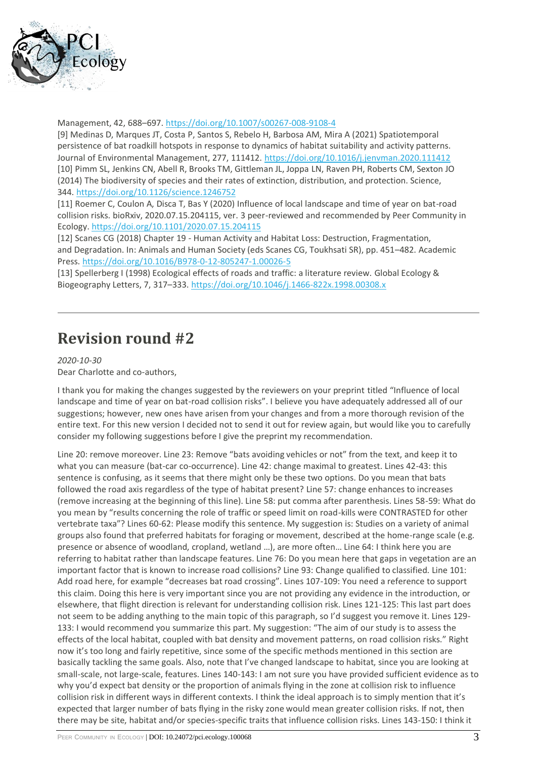

Management, 42, 688–697. <https://doi.org/10.1007/s00267-008-9108-4>

[9] Medinas D, Marques JT, Costa P, Santos S, Rebelo H, Barbosa AM, Mira A (2021) Spatiotemporal persistence of bat roadkill hotspots in response to dynamics of habitat suitability and activity patterns. Journal of Environmental Management, 277, 111412. <https://doi.org/10.1016/j.jenvman.2020.111412> [10] Pimm SL, Jenkins CN, Abell R, Brooks TM, Gittleman JL, Joppa LN, Raven PH, Roberts CM, Sexton JO (2014) The biodiversity of species and their rates of extinction, distribution, and protection. Science, 344. <https://doi.org/10.1126/science.1246752>

[11] Roemer C, Coulon A, Disca T, Bas Y (2020) Influence of local landscape and time of year on bat-road collision risks. bioRxiv, 2020.07.15.204115, ver. 3 peer-reviewed and recommended by Peer Community in Ecology. <https://doi.org/10.1101/2020.07.15.204115>

[12] Scanes CG (2018) Chapter 19 - Human Activity and Habitat Loss: Destruction, Fragmentation, and Degradation. In: Animals and Human Society (eds Scanes CG, Toukhsati SR), pp. 451–482. Academic Press. <https://doi.org/10.1016/B978-0-12-805247-1.00026-5>

[13] Spellerberg I (1998) Ecological effects of roads and traffic: a literature review. Global Ecology & Biogeography Letters, 7, 317–333. <https://doi.org/10.1046/j.1466-822x.1998.00308.x>

## **Revision round #2**

*2020-10-30* Dear Charlotte and co-authors,

I thank you for making the changes suggested by the reviewers on your preprint titled "Influence of local landscape and time of year on bat-road collision risks". I believe you have adequately addressed all of our suggestions; however, new ones have arisen from your changes and from a more thorough revision of the entire text. For this new version I decided not to send it out for review again, but would like you to carefully consider my following suggestions before I give the preprint my recommendation.

Line 20: remove moreover. Line 23: Remove "bats avoiding vehicles or not" from the text, and keep it to what you can measure (bat-car co-occurrence). Line 42: change maximal to greatest. Lines 42-43: this sentence is confusing, as it seems that there might only be these two options. Do you mean that bats followed the road axis regardless of the type of habitat present? Line 57: change enhances to increases (remove increasing at the beginning of this line). Line 58: put comma after parenthesis. Lines 58-59: What do you mean by "results concerning the role of traffic or speed limit on road-kills were CONTRASTED for other vertebrate taxa"? Lines 60-62: Please modify this sentence. My suggestion is: Studies on a variety of animal groups also found that preferred habitats for foraging or movement, described at the home-range scale (e.g. presence or absence of woodland, cropland, wetland …), are more often… Line 64: I think here you are referring to habitat rather than landscape features. Line 76: Do you mean here that gaps in vegetation are an important factor that is known to increase road collisions? Line 93: Change qualified to classified. Line 101: Add road here, for example "decreases bat road crossing". Lines 107-109: You need a reference to support this claim. Doing this here is very important since you are not providing any evidence in the introduction, or elsewhere, that flight direction is relevant for understanding collision risk. Lines 121-125: This last part does not seem to be adding anything to the main topic of this paragraph, so I'd suggest you remove it. Lines 129- 133: I would recommend you summarize this part. My suggestion: "The aim of our study is to assess the effects of the local habitat, coupled with bat density and movement patterns, on road collision risks." Right now it's too long and fairly repetitive, since some of the specific methods mentioned in this section are basically tackling the same goals. Also, note that I've changed landscape to habitat, since you are looking at small-scale, not large-scale, features. Lines 140-143: I am not sure you have provided sufficient evidence as to why you'd expect bat density or the proportion of animals flying in the zone at collision risk to influence collision risk in different ways in different contexts. I think the ideal approach is to simply mention that it's expected that larger number of bats flying in the risky zone would mean greater collision risks. If not, then there may be site, habitat and/or species-specific traits that influence collision risks. Lines 143-150: I think it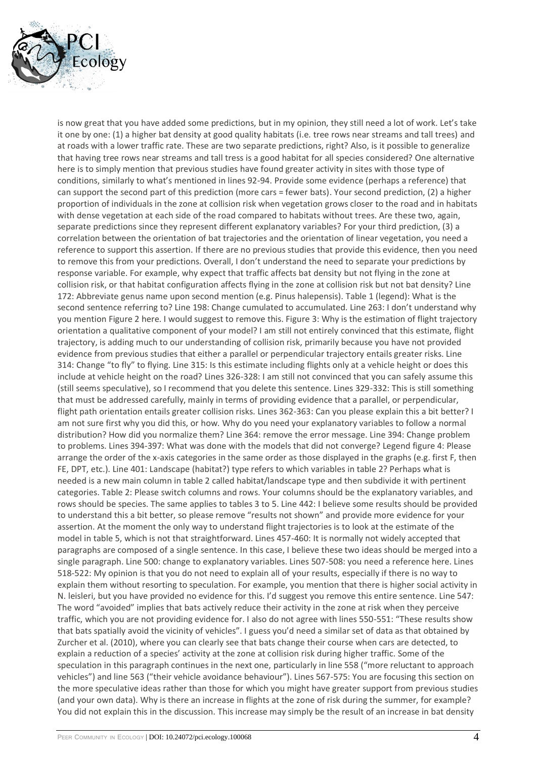

is now great that you have added some predictions, but in my opinion, they still need a lot of work. Let's take it one by one: (1) a higher bat density at good quality habitats (i.e. tree rows near streams and tall trees) and at roads with a lower traffic rate. These are two separate predictions, right? Also, is it possible to generalize that having tree rows near streams and tall tress is a good habitat for all species considered? One alternative here is to simply mention that previous studies have found greater activity in sites with those type of conditions, similarly to what's mentioned in lines 92-94. Provide some evidence (perhaps a reference) that can support the second part of this prediction (more cars = fewer bats). Your second prediction, (2) a higher proportion of individuals in the zone at collision risk when vegetation grows closer to the road and in habitats with dense vegetation at each side of the road compared to habitats without trees. Are these two, again, separate predictions since they represent different explanatory variables? For your third prediction, (3) a correlation between the orientation of bat trajectories and the orientation of linear vegetation, you need a reference to support this assertion. If there are no previous studies that provide this evidence, then you need to remove this from your predictions. Overall, I don't understand the need to separate your predictions by response variable. For example, why expect that traffic affects bat density but not flying in the zone at collision risk, or that habitat configuration affects flying in the zone at collision risk but not bat density? Line 172: Abbreviate genus name upon second mention (e.g. Pinus halepensis). Table 1 (legend): What is the second sentence referring to? Line 198: Change cumulated to accumulated. Line 263: I don't understand why you mention Figure 2 here. I would suggest to remove this. Figure 3: Why is the estimation of flight trajectory orientation a qualitative component of your model? I am still not entirely convinced that this estimate, flight trajectory, is adding much to our understanding of collision risk, primarily because you have not provided evidence from previous studies that either a parallel or perpendicular trajectory entails greater risks. Line 314: Change "to fly" to flying. Line 315: Is this estimate including flights only at a vehicle height or does this include at vehicle height on the road? Lines 326-328: I am still not convinced that you can safely assume this (still seems speculative), so I recommend that you delete this sentence. Lines 329-332: This is still something that must be addressed carefully, mainly in terms of providing evidence that a parallel, or perpendicular, flight path orientation entails greater collision risks. Lines 362-363: Can you please explain this a bit better? I am not sure first why you did this, or how. Why do you need your explanatory variables to follow a normal distribution? How did you normalize them? Line 364: remove the error message. Line 394: Change problem to problems. Lines 394-397: What was done with the models that did not converge? Legend figure 4: Please arrange the order of the x-axis categories in the same order as those displayed in the graphs (e.g. first F, then FE, DPT, etc.). Line 401: Landscape (habitat?) type refers to which variables in table 2? Perhaps what is needed is a new main column in table 2 called habitat/landscape type and then subdivide it with pertinent categories. Table 2: Please switch columns and rows. Your columns should be the explanatory variables, and rows should be species. The same applies to tables 3 to 5. Line 442: I believe some results should be provided to understand this a bit better, so please remove "results not shown" and provide more evidence for your assertion. At the moment the only way to understand flight trajectories is to look at the estimate of the model in table 5, which is not that straightforward. Lines 457-460: It is normally not widely accepted that paragraphs are composed of a single sentence. In this case, I believe these two ideas should be merged into a single paragraph. Line 500: change to explanatory variables. Lines 507-508: you need a reference here. Lines 518-522: My opinion is that you do not need to explain all of your results, especially if there is no way to explain them without resorting to speculation. For example, you mention that there is higher social activity in N. leisleri, but you have provided no evidence for this. I'd suggest you remove this entire sentence. Line 547: The word "avoided" implies that bats actively reduce their activity in the zone at risk when they perceive traffic, which you are not providing evidence for. I also do not agree with lines 550-551: "These results show that bats spatially avoid the vicinity of vehicles". I guess you'd need a similar set of data as that obtained by Zurcher et al. (2010), where you can clearly see that bats change their course when cars are detected, to explain a reduction of a species' activity at the zone at collision risk during higher traffic. Some of the speculation in this paragraph continues in the next one, particularly in line 558 ("more reluctant to approach vehicles") and line 563 ("their vehicle avoidance behaviour"). Lines 567-575: You are focusing this section on the more speculative ideas rather than those for which you might have greater support from previous studies (and your own data). Why is there an increase in flights at the zone of risk during the summer, for example? You did not explain this in the discussion. This increase may simply be the result of an increase in bat density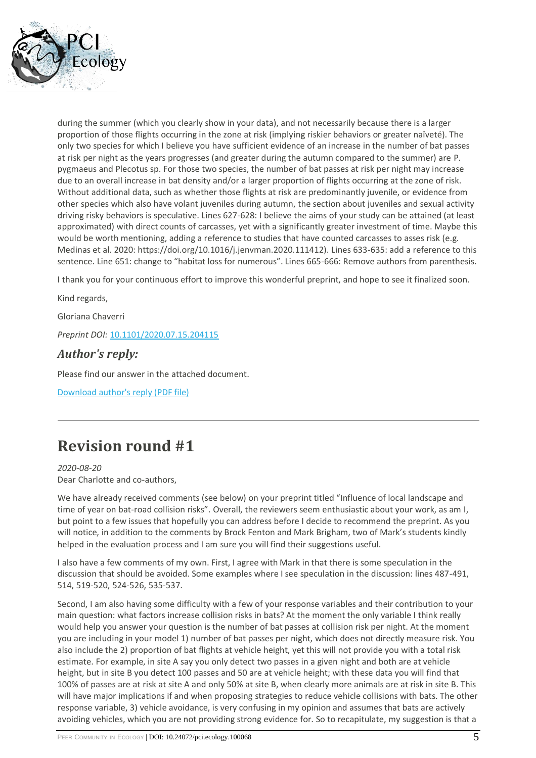

during the summer (which you clearly show in your data), and not necessarily because there is a larger proportion of those flights occurring in the zone at risk (implying riskier behaviors or greater naïveté). The only two species for which I believe you have sufficient evidence of an increase in the number of bat passes at risk per night as the years progresses (and greater during the autumn compared to the summer) are P. pygmaeus and Plecotus sp. For those two species, the number of bat passes at risk per night may increase due to an overall increase in bat density and/or a larger proportion of flights occurring at the zone of risk. Without additional data, such as whether those flights at risk are predominantly juvenile, or evidence from other species which also have volant juveniles during autumn, the section about juveniles and sexual activity driving risky behaviors is speculative. Lines 627-628: I believe the aims of your study can be attained (at least approximated) with direct counts of carcasses, yet with a significantly greater investment of time. Maybe this would be worth mentioning, adding a reference to studies that have counted carcasses to asses risk (e.g. Medinas et al. 2020: https://doi.org/10.1016/j.jenvman.2020.111412). Lines 633-635: add a reference to this sentence. Line 651: change to "habitat loss for numerous". Lines 665-666: Remove authors from parenthesis.

I thank you for your continuous effort to improve this wonderful preprint, and hope to see it finalized soon.

Kind regards,

Gloriana Chaverri

*Preprint DOI:* [10.1101/2020.07.15.204115](https://doi.org/10.1101/2020.07.15.204115)

### *Author's reply:*

Please find our answer in the attached document.

[Download author's reply \(PDF file\)](https://ecology.peercommunityin.org/download/t_recommendations.reply_pdf.b9651ecc8cdb6d33.5265706c795f746f5f7265766965776572735f726f756e64325f56322e706466.pdf)

## **Revision round #1**

*2020-08-20* Dear Charlotte and co-authors,

We have already received comments (see below) on your preprint titled "Influence of local landscape and time of year on bat-road collision risks". Overall, the reviewers seem enthusiastic about your work, as am I, but point to a few issues that hopefully you can address before I decide to recommend the preprint. As you will notice, in addition to the comments by Brock Fenton and Mark Brigham, two of Mark's students kindly helped in the evaluation process and I am sure you will find their suggestions useful.

I also have a few comments of my own. First, I agree with Mark in that there is some speculation in the discussion that should be avoided. Some examples where I see speculation in the discussion: lines 487-491, 514, 519-520, 524-526, 535-537.

Second, I am also having some difficulty with a few of your response variables and their contribution to your main question: what factors increase collision risks in bats? At the moment the only variable I think really would help you answer your question is the number of bat passes at collision risk per night. At the moment you are including in your model 1) number of bat passes per night, which does not directly measure risk. You also include the 2) proportion of bat flights at vehicle height, yet this will not provide you with a total risk estimate. For example, in site A say you only detect two passes in a given night and both are at vehicle height, but in site B you detect 100 passes and 50 are at vehicle height; with these data you will find that 100% of passes are at risk at site A and only 50% at site B, when clearly more animals are at risk in site B. This will have major implications if and when proposing strategies to reduce vehicle collisions with bats. The other response variable, 3) vehicle avoidance, is very confusing in my opinion and assumes that bats are actively avoiding vehicles, which you are not providing strong evidence for. So to recapitulate, my suggestion is that a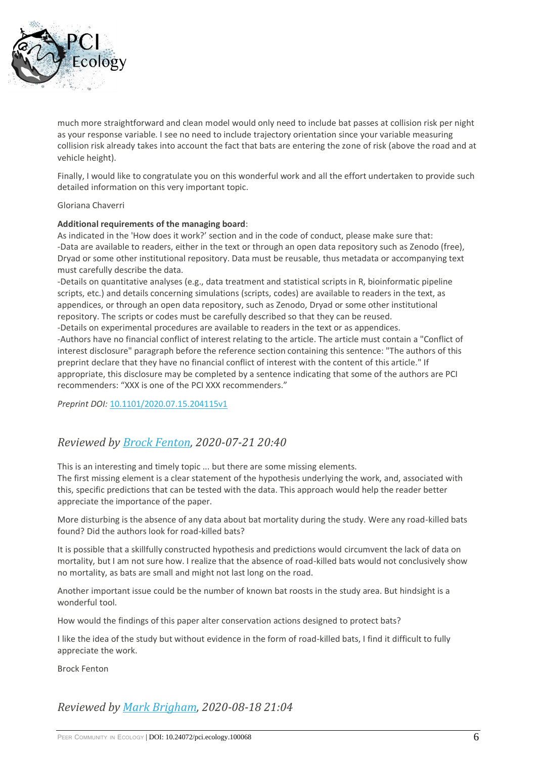

much more straightforward and clean model would only need to include bat passes at collision risk per night as your response variable. I see no need to include trajectory orientation since your variable measuring collision risk already takes into account the fact that bats are entering the zone of risk (above the road and at vehicle height).

Finally, I would like to congratulate you on this wonderful work and all the effort undertaken to provide such detailed information on this very important topic.

#### Gloriana Chaverri

#### **Additional requirements of the managing board**:

As indicated in the 'How does it work?' section and in the code of conduct, please make sure that: -Data are available to readers, either in the text or through an open data repository such as Zenodo (free), Dryad or some other institutional repository. Data must be reusable, thus metadata or accompanying text must carefully describe the data.

-Details on quantitative analyses (e.g., data treatment and statistical scripts in R, bioinformatic pipeline scripts, etc.) and details concerning simulations (scripts, codes) are available to readers in the text, as appendices, or through an open data repository, such as Zenodo, Dryad or some other institutional repository. The scripts or codes must be carefully described so that they can be reused.

-Details on experimental procedures are available to readers in the text or as appendices.

-Authors have no financial conflict of interest relating to the article. The article must contain a "Conflict of interest disclosure" paragraph before the reference section containing this sentence: "The authors of this preprint declare that they have no financial conflict of interest with the content of this article." If appropriate, this disclosure may be completed by a sentence indicating that some of the authors are PCI recommenders: "XXX is one of the PCI XXX recommenders."

*Preprint DOI:* [10.1101/2020.07.15.204115v1](https://doi.org/10.1101/2020.07.15.204115v1)

### *Reviewed by [Brock Fenton,](https://ecology.peercommunityin.org/public/viewUserCard?userId=1348) 2020-07-21 20:40*

This is an interesting and timely topic ... but there are some missing elements.

The first missing element is a clear statement of the hypothesis underlying the work, and, associated with this, specific predictions that can be tested with the data. This approach would help the reader better appreciate the importance of the paper.

More disturbing is the absence of any data about bat mortality during the study. Were any road-killed bats found? Did the authors look for road-killed bats?

It is possible that a skillfully constructed hypothesis and predictions would circumvent the lack of data on mortality, but I am not sure how. I realize that the absence of road-killed bats would not conclusively show no mortality, as bats are small and might not last long on the road.

Another important issue could be the number of known bat roosts in the study area. But hindsight is a wonderful tool.

How would the findings of this paper alter conservation actions designed to protect bats?

I like the idea of the study but without evidence in the form of road-killed bats, I find it difficult to fully appreciate the work.

Brock Fenton

*Reviewed by [Mark Brigham,](https://ecology.peercommunityin.org/public/viewUserCard?userId=1403) 2020-08-18 21:04*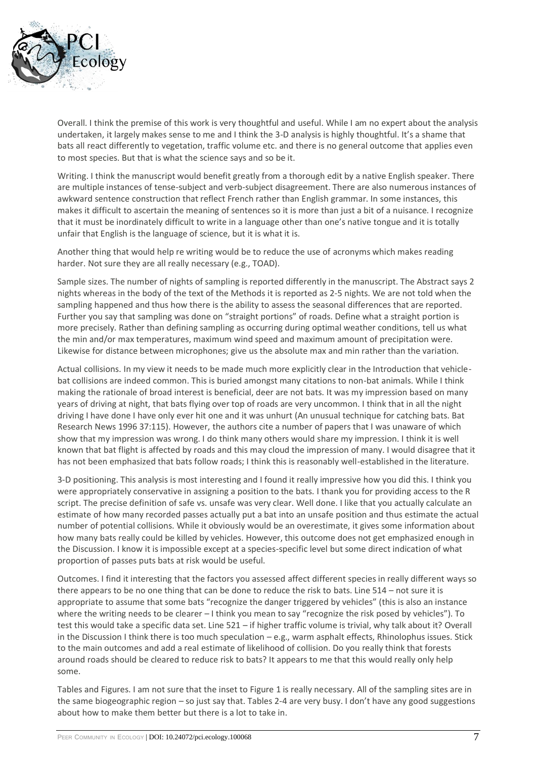

Overall. I think the premise of this work is very thoughtful and useful. While I am no expert about the analysis undertaken, it largely makes sense to me and I think the 3-D analysis is highly thoughtful. It's a shame that bats all react differently to vegetation, traffic volume etc. and there is no general outcome that applies even to most species. But that is what the science says and so be it.

Writing. I think the manuscript would benefit greatly from a thorough edit by a native English speaker. There are multiple instances of tense-subject and verb-subject disagreement. There are also numerous instances of awkward sentence construction that reflect French rather than English grammar. In some instances, this makes it difficult to ascertain the meaning of sentences so it is more than just a bit of a nuisance. I recognize that it must be inordinately difficult to write in a language other than one's native tongue and it is totally unfair that English is the language of science, but it is what it is.

Another thing that would help re writing would be to reduce the use of acronyms which makes reading harder. Not sure they are all really necessary (e.g., TOAD).

Sample sizes. The number of nights of sampling is reported differently in the manuscript. The Abstract says 2 nights whereas in the body of the text of the Methods it is reported as 2-5 nights. We are not told when the sampling happened and thus how there is the ability to assess the seasonal differences that are reported. Further you say that sampling was done on "straight portions" of roads. Define what a straight portion is more precisely. Rather than defining sampling as occurring during optimal weather conditions, tell us what the min and/or max temperatures, maximum wind speed and maximum amount of precipitation were. Likewise for distance between microphones; give us the absolute max and min rather than the variation.

Actual collisions. In my view it needs to be made much more explicitly clear in the Introduction that vehiclebat collisions are indeed common. This is buried amongst many citations to non-bat animals. While I think making the rationale of broad interest is beneficial, deer are not bats. It was my impression based on many years of driving at night, that bats flying over top of roads are very uncommon. I think that in aIl the night driving I have done I have only ever hit one and it was unhurt (An unusual technique for catching bats. Bat Research News 1996 37:115). However, the authors cite a number of papers that I was unaware of which show that my impression was wrong. I do think many others would share my impression. I think it is well known that bat flight is affected by roads and this may cloud the impression of many. I would disagree that it has not been emphasized that bats follow roads; I think this is reasonably well-established in the literature.

3-D positioning. This analysis is most interesting and I found it really impressive how you did this. I think you were appropriately conservative in assigning a position to the bats. I thank you for providing access to the R script. The precise definition of safe vs. unsafe was very clear. Well done. I like that you actually calculate an estimate of how many recorded passes actually put a bat into an unsafe position and thus estimate the actual number of potential collisions. While it obviously would be an overestimate, it gives some information about how many bats really could be killed by vehicles. However, this outcome does not get emphasized enough in the Discussion. I know it is impossible except at a species-specific level but some direct indication of what proportion of passes puts bats at risk would be useful.

Outcomes. I find it interesting that the factors you assessed affect different species in really different ways so there appears to be no one thing that can be done to reduce the risk to bats. Line 514 – not sure it is appropriate to assume that some bats "recognize the danger triggered by vehicles" (this is also an instance where the writing needs to be clearer – I think you mean to say "recognize the risk posed by vehicles"). To test this would take a specific data set. Line 521 – if higher traffic volume is trivial, why talk about it? Overall in the Discussion I think there is too much speculation – e.g., warm asphalt effects, Rhinolophus issues. Stick to the main outcomes and add a real estimate of likelihood of collision. Do you really think that forests around roads should be cleared to reduce risk to bats? It appears to me that this would really only help some.

Tables and Figures. I am not sure that the inset to Figure 1 is really necessary. All of the sampling sites are in the same biogeographic region – so just say that. Tables 2-4 are very busy. I don't have any good suggestions about how to make them better but there is a lot to take in.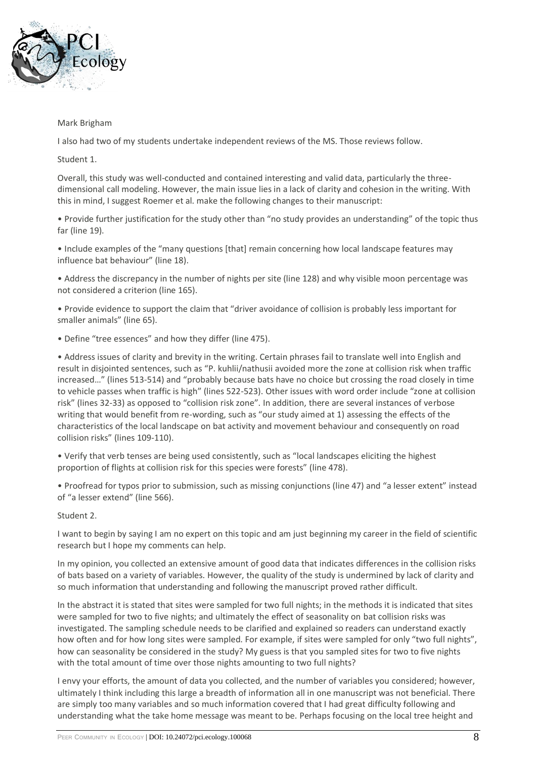

### Mark Brigham

I also had two of my students undertake independent reviews of the MS. Those reviews follow.

Student 1.

Overall, this study was well-conducted and contained interesting and valid data, particularly the threedimensional call modeling. However, the main issue lies in a lack of clarity and cohesion in the writing. With this in mind, I suggest Roemer et al. make the following changes to their manuscript:

• Provide further justification for the study other than "no study provides an understanding" of the topic thus far (line 19).

• Include examples of the "many questions [that] remain concerning how local landscape features may influence bat behaviour" (line 18).

• Address the discrepancy in the number of nights per site (line 128) and why visible moon percentage was not considered a criterion (line 165).

• Provide evidence to support the claim that "driver avoidance of collision is probably less important for smaller animals" (line 65).

• Define "tree essences" and how they differ (line 475).

• Address issues of clarity and brevity in the writing. Certain phrases fail to translate well into English and result in disjointed sentences, such as "P. kuhlii/nathusii avoided more the zone at collision risk when traffic increased…" (lines 513-514) and "probably because bats have no choice but crossing the road closely in time to vehicle passes when traffic is high" (lines 522-523). Other issues with word order include "zone at collision risk" (lines 32-33) as opposed to "collision risk zone". In addition, there are several instances of verbose writing that would benefit from re-wording, such as "our study aimed at 1) assessing the effects of the characteristics of the local landscape on bat activity and movement behaviour and consequently on road collision risks" (lines 109-110).

• Verify that verb tenses are being used consistently, such as "local landscapes eliciting the highest proportion of flights at collision risk for this species were forests" (line 478).

• Proofread for typos prior to submission, such as missing conjunctions (line 47) and "a lesser extent" instead of "a lesser extend" (line 566).

Student 2.

I want to begin by saying I am no expert on this topic and am just beginning my career in the field of scientific research but I hope my comments can help.

In my opinion, you collected an extensive amount of good data that indicates differences in the collision risks of bats based on a variety of variables. However, the quality of the study is undermined by lack of clarity and so much information that understanding and following the manuscript proved rather difficult.

In the abstract it is stated that sites were sampled for two full nights; in the methods it is indicated that sites were sampled for two to five nights; and ultimately the effect of seasonality on bat collision risks was investigated. The sampling schedule needs to be clarified and explained so readers can understand exactly how often and for how long sites were sampled. For example, if sites were sampled for only "two full nights", how can seasonality be considered in the study? My guess is that you sampled sites for two to five nights with the total amount of time over those nights amounting to two full nights?

I envy your efforts, the amount of data you collected, and the number of variables you considered; however, ultimately I think including this large a breadth of information all in one manuscript was not beneficial. There are simply too many variables and so much information covered that I had great difficulty following and understanding what the take home message was meant to be. Perhaps focusing on the local tree height and